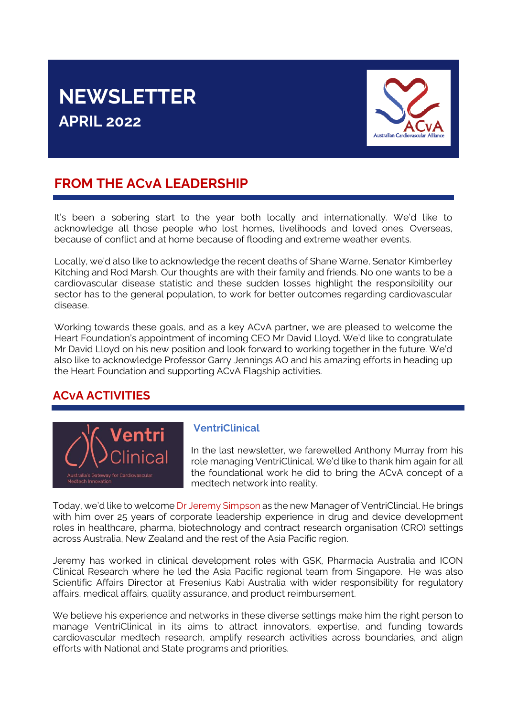# **NEWSLETTER APRIL 2022**



## **FROM THE ACvA LEADERSHIP**

It's been a sobering start to the year both locally and internationally. We'd like to acknowledge all those people who lost homes, livelihoods and loved ones. Overseas, because of conflict and at home because of flooding and extreme weather events.

Locally, we'd also like to acknowledge the recent deaths of Shane Warne, Senator Kimberley Kitching and Rod Marsh. Our thoughts are with their family and friends. No one wants to be a cardiovascular disease statistic and these sudden losses highlight the responsibility our sector has to the general population, to work for better outcomes regarding cardiovascular disease.

Working towards these goals, and as a key ACvA partner, we are pleased to welcome the Heart Foundation's appointment of incoming CEO Mr David Lloyd. We'd like to congratulate Mr David Lloyd on his new position and look forward to working together in the future. We'd also like to acknowledge Professor Garry Jennings AO and his amazing efforts in heading up the Heart Foundation and supporting ACvA Flagship activities.

### **ACvA ACTIVITIES**



### **VentriClinical**

In the last newsletter, we farewelled Anthony Murray from his role managing VentriClinical. We'd like to thank him again for all the foundational work he did to bring the ACvA concept of a medtech network into reality.

Today, we'd like to welcome [Dr Jeremy Simpson](https://au.linkedin.com/in/jeremysimpson) as the new Manager of VentriClincial. He brings with him over 25 years of corporate leadership experience in drug and device development roles in healthcare, pharma, biotechnology and contract research organisation (CRO) settings across Australia, New Zealand and the rest of the Asia Pacific region.

Jeremy has worked in clinical development roles with GSK, Pharmacia Australia and ICON Clinical Research where he led the Asia Pacific regional team from Singapore. He was also Scientific Affairs Director at Fresenius Kabi Australia with wider responsibility for regulatory affairs, medical affairs, quality assurance, and product reimbursement.

We believe his experience and networks in these diverse settings make him the right person to manage VentriClinical in its aims to attract innovators, expertise, and funding towards cardiovascular medtech research, amplify research activities across boundaries, and align efforts with National and State programs and priorities.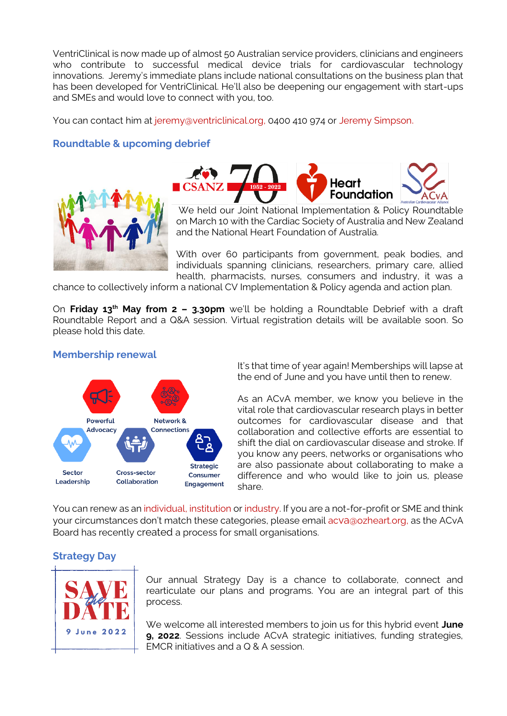VentriClinical is now made up of almost 50 Australian service providers, clinicians and engineers who contribute to successful medical device trials for cardiovascular technology innovations. Jeremy's immediate plans include national consultations on the business plan that has been developed for VentriClinical. He'll also be deepening our engagement with start-ups and SMEs and would love to connect with you, too.

You can contact him at [jeremy@ventriclinical.org,](mailto:jeremy@ventriclinical.org) 0400 410 974 or [Jeremy Simpson](https://au.linkedin.com/in/jeremysimpson).

#### **Roundtable & upcoming debrief**





We held our Joint National Implementation & Policy Roundtable on March 10 with the Cardiac Society of Australia and New Zealand and the National Heart Foundation of Australia.

With over 60 participants from government, peak bodies, and individuals spanning clinicians, researchers, primary care, allied health, pharmacists, nurses, consumers and industry, it was a

chance to collectively inform a national CV Implementation & Policy agenda and action plan.

On **Friday 13th May from 2 – 3.30pm** we'll be holding a Roundtable Debrief with a draft Roundtable Report and a Q&A session. Virtual registration details will be available soon. So please hold this date.

#### **Membership renewal**



It's that time of year again! Memberships will lapse at the end of June and you have until then to renew.

As an ACvA member, we know you believe in the vital role that cardiovascular research plays in better outcomes for cardiovascular disease and that collaboration and collective efforts are essential to shift the dial on cardiovascular disease and stroke. If you know any peers, networks or organisations who are also passionate about collaborating to make a difference and who would like to join us, please share.

You can renew as an [individual,](https://ozheart.org/membership/individual-membership/) [institution](https://ozheart.org/membership/institutional-membership/) or [industry.](https://ozheart.org/membership/industry-membership/) If you are a not-for-profit or SME and think your circumstances don't match these categories, please email acva[@ozheart.org,](mailto:admin@ozheart.org) as the ACvA Board has recently created a process for small organisations.

### **Strategy Day**



Our annual Strategy Day is a chance to collaborate, connect and rearticulate our plans and programs. You are an integral part of this process.

We welcome all interested members to join us for this hybrid event **June 9, 2022**. Sessions include ACvA strategic initiatives, funding strategies, EMCR initiatives and a Q & A session.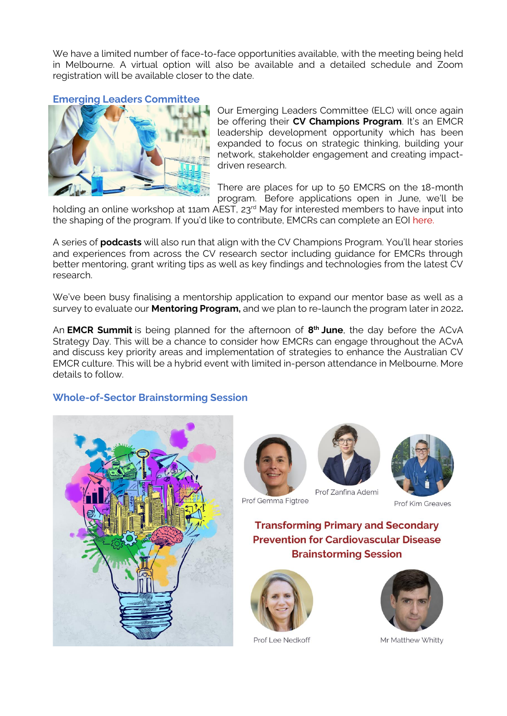We have a limited number of face-to-face opportunities available, with the meeting being held in Melbourne. A virtual option will also be available and a detailed schedule and Zoom registration will be available closer to the date.

#### **Emerging Leaders Committee**



Our Emerging Leaders Committee (ELC) will once again be offering their **CV Champions Program**. It's an EMCR leadership development opportunity which has been expanded to focus on strategic thinking, building your network, stakeholder engagement and creating impactdriven research.

There are places for up to 50 EMCRS on the 18-month program. Before applications open in June, we'll be

holding an online workshop at 11am AEST, 23<sup>rd</sup> May for interested members to have input into the shaping of the program. If you'd like to contribute, EMCRs can complete an EOI [here.](https://www.surveymonkey.com/r/RWYVVTD)

A series of **podcasts** will also run that align with the CV Champions Program. You'll hear stories and experiences from across the CV research sector including guidance for EMCRs through better mentoring, grant writing tips as well as key findings and technologies from the latest CV research.

We've been busy finalising a mentorship application to expand our mentor base as well as a survey to evaluate our **Mentoring Program,** and we plan to re-launch the program later in 2022**.**

An **EMCR Summit** is being planned for the afternoon of **8 th June**, the day before the ACvA Strategy Day. This will be a chance to consider how EMCRs can engage throughout the ACvA and discuss key priority areas and implementation of strategies to enhance the Australian CV EMCR culture. This will be a hybrid event with limited in-person attendance in Melbourne. More details to follow.

#### **Whole-of-Sector Brainstorming Session**









Prof Kim Greaves

**Transforming Primary and Secondary Prevention for Cardiovascular Disease Brainstorming Session** 



Prof Lee Nedkoff



Mr Matthew Whitty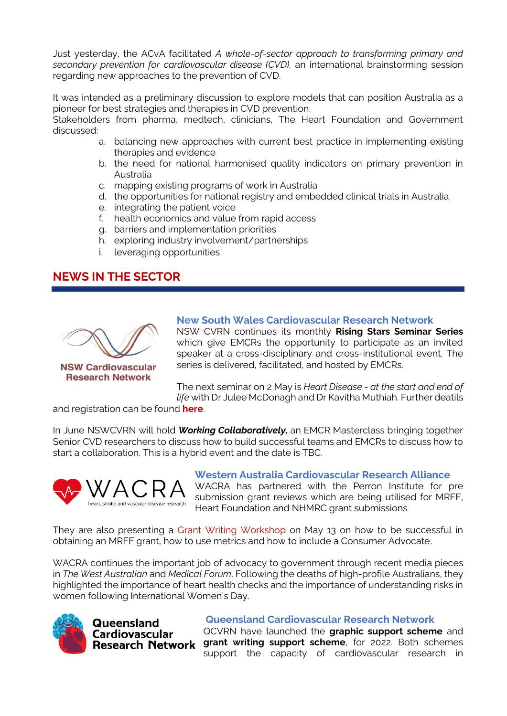Just yesterday, the ACvA facilitated *A whole-of-sector approach to transforming primary and secondary prevention for cardiovascular disease (CVD),* an international brainstorming session regarding new approaches to the prevention of CVD.

It was intended as a preliminary discussion to explore models that can position Australia as a pioneer for best strategies and therapies in CVD prevention.

Stakeholders from pharma, medtech, clinicians, The Heart Foundation and Government discussed:

- a. balancing new approaches with current best practice in implementing existing therapies and evidence
- b. the need for national harmonised quality indicators on primary prevention in Australia
- c. mapping existing programs of work in Australia
- d. the opportunities for national registry and embedded clinical trials in Australia
- e. integrating the patient voice
- f. health economics and value from rapid access
- g. barriers and implementation priorities
- h. exploring industry involvement/partnerships
- i. leveraging opportunities

### **NEWS IN THE SECTOR**



**Research Network** 

#### **New South Wales Cardiovascular Research Network**

NSW CVRN continues its monthly **Rising Stars Seminar Series** which give EMCRs the opportunity to participate as an invited speaker at a cross-disciplinary and cross-institutional event. The series is delivered, facilitated, and hosted by EMCRs.

The next seminar on 2 May is *Heart Disease - at the start and end of life* with Dr Julee McDonagh and Dr Kavitha Muthiah. Further deatils

and registration can be found **[here](https://heartfoundation-au.zoom.us/meeting/register/tJAlcuCsqjspEtGauBwxknR9YEY00zCaK2vp)**.

In June NSWCVRN will hold *Working Collaboratively,* an EMCR Masterclass bringing together Senior CVD researchers to discuss how to build successful teams and EMCRs to discuss how to start a collaboration. This is a hybrid event and the date is TBC.



#### **Western Australia Cardiovascular Research Alliance**

WACRA has partnered with the Perron Institute for pre submission grant reviews which are being utilised for MRFF, Heart Foundation and NHMRC grant submissions

They are also presenting a [Grant Writing Workshop](https://ozheart.org/wp-content/uploads/2022/04/WACRA-Workshop-flyer-draft_final.pdf) on May 13 on how to be successful in obtaining an MRFF grant, how to use metrics and how to include a Consumer Advocate.

WACRA continues the important job of advocacy to government through recent media pieces in *The West Australian* and *Medical Forum*. Following the deaths of high-profile Australians, they highlighted the importance of heart health checks and the importance of understanding risks in women following International Women's Day.



Queensland **Cardiovascular** 

#### **Queensland Cardiovascular Research Network**

QCVRN have launched the **graphic support scheme** and **Research Network grant writing support scheme**, for 2022. Both schemes support the capacity of cardiovascular research in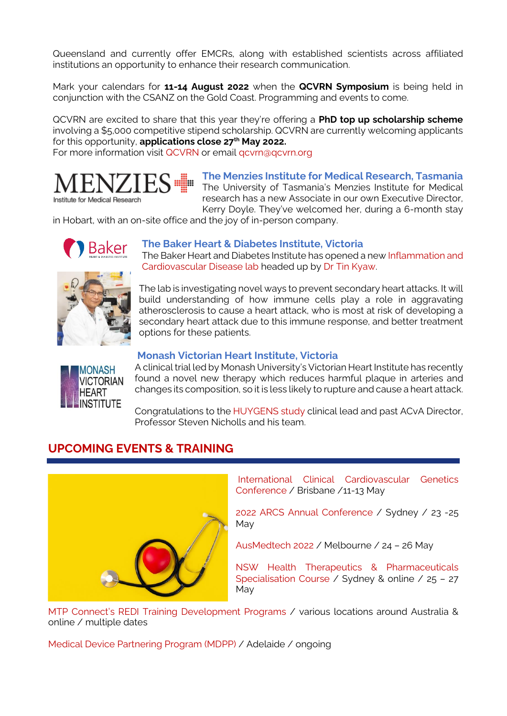Queensland and currently offer EMCRs, along with established scientists across affiliated institutions an opportunity to enhance their research communication.

Mark your calendars for **11-14 August 2022** when the **QCVRN Symposium** is being held in conjunction with the CSANZ on the Gold Coast. Programming and events to come.

QCVRN are excited to share that this year they're offering a **PhD top up scholarship scheme** involving a \$5,000 competitive stipend scholarship. QCVRN are currently welcoming applicants for this opportunity, **applications close 27th May 2022.** 

For more information visit [QCVRN](https://qcvrn.org/) or email gcvrn@qcvrn.org



**The Menzies Institute for Medical Research, Tasmania** The University of Tasmania's Menzies Institute for Medical research has a new Associate in our own Executive Director, Kerry Doyle. They've welcomed her, during a 6-month stay

in Hobart, with an on-site office and the joy of in-person company.



#### **The Baker Heart & Diabetes Institute, Victoria**

The Baker Heart and Diabetes Institute has opened a ne[w Inflammation and](https://baker.edu.au/research/laboratories/inflammation-cardiovascular-disease)  [Cardiovascular Disease lab](https://baker.edu.au/research/laboratories/inflammation-cardiovascular-disease) headed up by [Dr Tin Kyaw.](https://baker.edu.au/research/staff/tin-kyaw)

The lab is investigating novel ways to prevent secondary heart attacks. It will build understanding of how immune cells play a role in aggravating atherosclerosis to cause a heart attack, who is most at risk of developing a secondary heart attack due to this immune response, and better treatment options for these patients.

#### **Monash Victorian Heart Institute, Victoria**



A clinical trial led by Monash University's Victorian Heart Institute has recently found a novel new therapy which reduces harmful plaque in arteries and changes its composition, so it is less likely to rupture and cause a heart attack.

Congratulations to the [HUYGENS study](https://www.monash.edu/news/articles/game-changing-new-therapy-to-lower-cholesterol-and-stabilise-plaques-associated-with-heart-attack) clinical lead and past ACvA Director, Professor Steven Nicholls and his team.

### **UPCOMING EVENTS & TRAINING**



[International Clinical Cardiovascular Genetics](https://www.iccgconference.com/)  [Conference](https://www.iccgconference.com/) / Brisbane /11-13 May

[2022 ARCS Annual Conference](https://arcs.eventsair.com/2022-arcs-annual-conference/contact-us) / Sydney / 23 -25 May

[AusMedtech 2022](https://www.ausmedtech.com.au/) / Melbourne / 24 – 26 May

[NSW Health Therapeutics & Pharmaceuticals](https://www.cicadainnovations.com/nsw-health-ctp-therapeutics-specialisation)  [Specialisation](https://www.cicadainnovations.com/nsw-health-ctp-therapeutics-specialisation) Course / Sydney & online / 25 – 27 May

[MTP Connect's REDI Training Development Programs](https://www.mtpconnect.org.au/images/MTPConnect%20REDI%20Training%20Development%20Programs%20-%20Brochure.pdf) / various locations around Australia & online / multiple dates

[Medical Device Partnering Program \(MDPP\)](https://mdpp.org.au/) / Adelaide / ongoing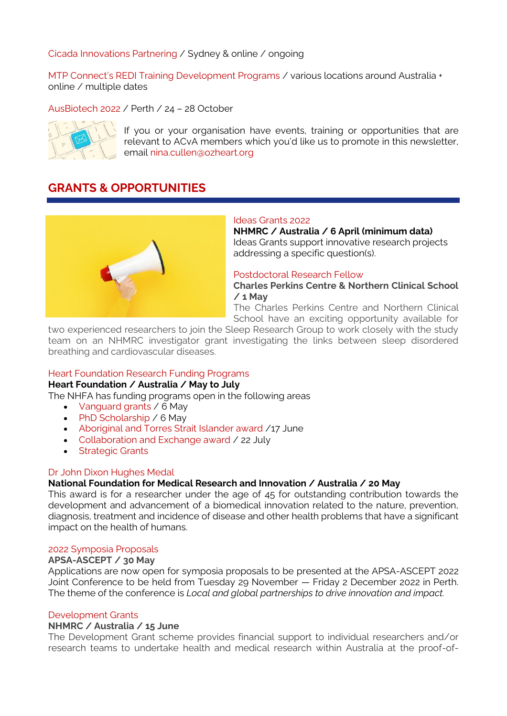#### [Cicada Innovations Partnering](https://www.cicadainnovations.com/partnering-with-cicada-innovations) / Sydney & online / ongoing

[MTP Connect's REDI Training Development Programs](https://www.mtpconnect.org.au/images/MTPConnect%20REDI%20Training%20Development%20Programs%20-%20Brochure.pdf) / various locations around Australia + online / multiple dates

[AusBiotech 2022](https://www.ausbiotech.org/events/event/AusBiotech2022) / Perth / 24 – 28 October



If you or your organisation have events, training or opportunities that are relevant to ACvA members which you'd like us to promote in this newsletter, email [nina.cullen@ozheart.org](mailto:nina.cullen@ozheart.org) 

### **GRANTS & OPPORTUNITIES**



#### [Ideas Grants 2022](https://www.nhmrc.gov.au/funding/find-funding/ideas-grants)

**NHMRC / Australia / 6 April (minimum data)** Ideas Grants support innovative research projects addressing a specific question(s).

#### [Postdoctoral Research Fellow](https://usyd.wd3.myworkdayjobs.com/USYD_EXTERNAL_CAREER_SITE/job/Camperdown-Campus/Postdoctoral-Research-Fellow_0091779-1)

**Charles Perkins Centre & Northern Clinical School / 1 May**

The Charles Perkins Centre and Northern Clinical School have an exciting opportunity available for

two experienced researchers to join the Sleep Research Group to work closely with the study team on an NHMRC investigator grant investigating the links between sleep disordered breathing and cardiovascular diseases.

#### [Heart Foundation Research Funding Programs](https://www.heartfoundation.org.au/research/research-funding-available)

#### **Heart Foundation / Australia / May to July**

The NHFA has funding programs open in the following areas

- [Vanguard grants](https://www.heartfoundation.org.au/research/Vanguard-Grants) / 6 May
- [PhD Scholarship](https://www.heartfoundation.org.au/research/PhD-Scholarship) / 6 May
- [Aboriginal and Torres Strait Islander award](https://www.heartfoundation.org.au/research/Aboriginal-and-Torres-Strait-Islander-Award) /17 June
- [Collaboration and Exchange award](https://www.heartfoundation.org.au/research/Collaboration-Exchange-Award) / 22 July
- [Strategic Grants](https://www.heartfoundation.org.au/Research/Strategic-Grants)

#### [Dr John Dixon Hughes Medal](https://nfmri.org.au/research-and-innovation/dr-john-dixon-hughes-medal/)

#### **National Foundation for Medical Research and Innovation / Australia / 20 May**

This award is for a researcher under the age of 45 for outstanding contribution towards the development and advancement of a biomedical innovation related to the nature, prevention, diagnosis, treatment and incidence of disease and other health problems that have a significant impact on the health of humans.

#### [2022 Symposia Proposals](https://www.asceptasm.com/symposium/)

#### **APSA-ASCEPT / 30 May**

Applications are now open for symposia proposals to be presented at the APSA-ASCEPT 2022 Joint Conference to be held from Tuesday 29 November — Friday 2 December 2022 in Perth. The theme of the conference is *Local and global partnerships to drive innovation and impact.*

#### [Development Grants](https://t.e2ma.net/click/hvs9le/hj7k3yl/t0wtcm)

#### **NHMRC / Australia / 15 June**

The Development Grant scheme provides financial support to individual researchers and/or research teams to undertake health and medical research within Australia at the proof-of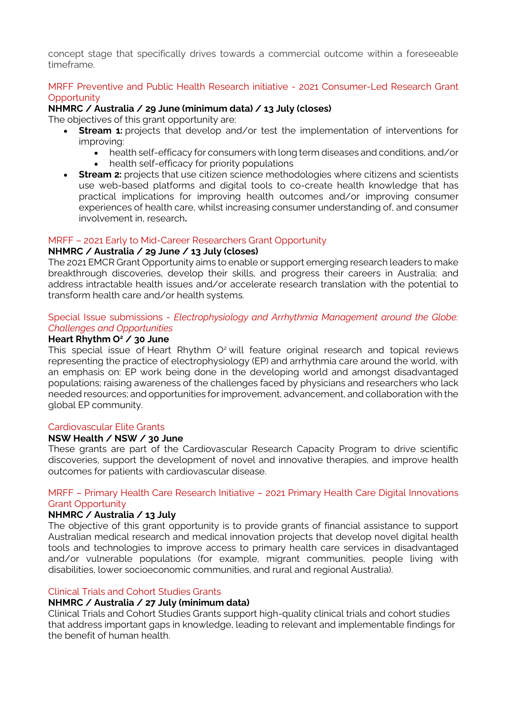concept stage that specifically drives towards a commercial outcome within a foreseeable timeframe.

#### [MRFF Preventive and Public Health Research initiative -](https://www.grants.gov.au/Go/Show?GoUuid=00ba3a66-86cd-4b6d-b880-3f00cb9e5152&keyword=GO5353) 2021 Consumer-Led Research Grant **[Opportunity](https://www.grants.gov.au/Go/Show?GoUuid=00ba3a66-86cd-4b6d-b880-3f00cb9e5152&keyword=GO5353)**

#### **NHMRC / Australia / 29 June (minimum data) / 13 July (closes)**

The objectives of this grant opportunity are:

- **Stream 1:** projects that develop and/or test the implementation of interventions for improving:
	- health self-efficacy for consumers with long term diseases and conditions, and/or
	- health self-efficacy for priority populations
- **Stream 2:** projects that use citizen science methodologies where citizens and scientists use web-based platforms and digital tools to co-create health knowledge that has practical implications for improving health outcomes and/or improving consumer experiences of health care, whilst increasing consumer understanding of, and consumer involvement in, research**.**

#### MRFF – [2021 Early to Mid-Career Researchers Grant Opportunity](https://www.nhmrc.gov.au/funding/find-funding/mrff-2021-early-mid-career-researchers-grant)

#### **NHMRC / Australia / 29 June / 13 July (closes)**

The 2021 EMCR Grant Opportunity aims to enable or support emerging research leaders to make breakthrough discoveries, develop their skills, and progress their careers in Australia; and address intractable health issues and/or accelerate research translation with the potential to transform health care and/or health systems.

#### Special Issue submissions - *[Electrophysiology and Arrhythmia Management around the Globe:](https://www.journals.elsevier.com/heart-rhythm-o2/call-for-papers/electrophysiology-and-arrhythmia-management-around-the-globe-challenges-and-opportunities)  [Challenges and Opportunities](https://www.journals.elsevier.com/heart-rhythm-o2/call-for-papers/electrophysiology-and-arrhythmia-management-around-the-globe-challenges-and-opportunities)*

#### **Heart Rhythm O<sup>2</sup> / 30 June**

This special issue of Heart Rhythm O<sup>2</sup> will feature original research and topical reviews representing the practice of electrophysiology (EP) and arrhythmia care around the world, with an emphasis on: EP work being done in the developing world and amongst disadvantaged populations; raising awareness of the challenges faced by physicians and researchers who lack needed resources; and opportunities for improvement, advancement, and collaboration with the global EP community.

#### [Cardiovascular Elite Grants](https://www.medicalresearch.nsw.gov.au/cardiovascular/)

#### **NSW Health / NSW / 30 June**

These grants are part of the Cardiovascular Research Capacity Program to drive scientific discoveries, support the development of novel and innovative therapies, and improve health outcomes for patients with cardiovascular disease.

#### MRFF – Primary Health Care Research Initiative – [2021 Primary Health Care Digital Innovations](https://www.grants.gov.au/Go/Show?GoUuid=585ee34c-0342-4722-abaf-7023ee7f587e)  [Grant Opportunity](https://www.grants.gov.au/Go/Show?GoUuid=585ee34c-0342-4722-abaf-7023ee7f587e)

#### **NHMRC / Australia / 13 July**

The objective of this grant opportunity is to provide grants of financial assistance to support Australian medical research and medical innovation projects that develop novel digital health tools and technologies to improve access to primary health care services in disadvantaged and/or vulnerable populations (for example, migrant communities, people living with disabilities, lower socioeconomic communities, and rural and regional Australia).

#### [Clinical Trials and Cohort Studies Grants](https://www.nhmrc.gov.au/funding/find-funding/clinical-trials-and-cohort-studies-grants)

#### **NHMRC / Australia / 27 July (minimum data)**

Clinical Trials and Cohort Studies Grants support high-quality clinical trials and cohort studies that address important gaps in knowledge, leading to relevant and implementable findings for the benefit of human health.